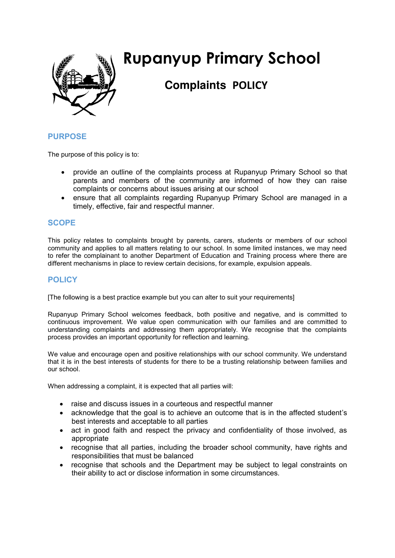

# **Rupanyup Primary School**

# **Complaints POLICY**

#### **PURPOSE**

The purpose of this policy is to:

- provide an outline of the complaints process at Rupanyup Primary School so that parents and members of the community are informed of how they can raise complaints or concerns about issues arising at our school
- ensure that all complaints regarding Rupanyup Primary School are managed in a timely, effective, fair and respectful manner.

#### **SCOPE**

This policy relates to complaints brought by parents, carers, students or members of our school community and applies to all matters relating to our school. In some limited instances, we may need to refer the complainant to another Department of Education and Training process where there are different mechanisms in place to review certain decisions, for example, expulsion appeals.

## **POLICY**

[The following is a best practice example but you can alter to suit your requirements]

Rupanyup Primary School welcomes feedback, both positive and negative, and is committed to continuous improvement. We value open communication with our families and are committed to understanding complaints and addressing them appropriately. We recognise that the complaints process provides an important opportunity for reflection and learning.

We value and encourage open and positive relationships with our school community. We understand that it is in the best interests of students for there to be a trusting relationship between families and our school.

When addressing a complaint, it is expected that all parties will:

- raise and discuss issues in a courteous and respectful manner
- acknowledge that the goal is to achieve an outcome that is in the affected student's best interests and acceptable to all parties
- act in good faith and respect the privacy and confidentiality of those involved, as appropriate
- recognise that all parties, including the broader school community, have rights and responsibilities that must be balanced
- recognise that schools and the Department may be subject to legal constraints on their ability to act or disclose information in some circumstances.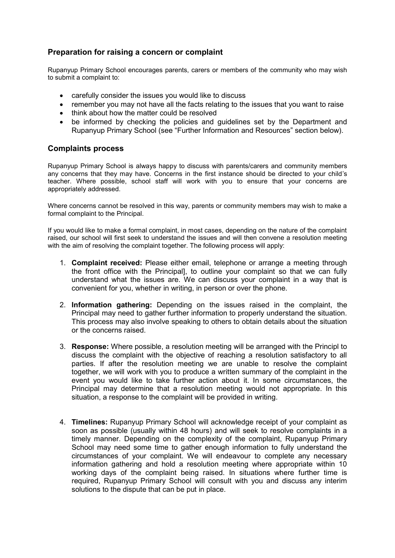#### **Preparation for raising a concern or complaint**

Rupanyup Primary School encourages parents, carers or members of the community who may wish to submit a complaint to:

- carefully consider the issues you would like to discuss
- remember you may not have all the facts relating to the issues that you want to raise
- think about how the matter could be resolved
- be informed by checking the policies and guidelines set by the Department and Rupanyup Primary School (see "Further Information and Resources" section below).

#### **Complaints process**

Rupanyup Primary School is always happy to discuss with parents/carers and community members any concerns that they may have. Concerns in the first instance should be directed to your child's teacher. Where possible, school staff will work with you to ensure that your concerns are appropriately addressed.

Where concerns cannot be resolved in this way, parents or community members may wish to make a formal complaint to the Principal.

If you would like to make a formal complaint, in most cases, depending on the nature of the complaint raised, our school will first seek to understand the issues and will then convene a resolution meeting with the aim of resolving the complaint together. The following process will apply:

- 1. **Complaint received:** Please either email, telephone or arrange a meeting through the front office with the Principal], to outline your complaint so that we can fully understand what the issues are. We can discuss your complaint in a way that is convenient for you, whether in writing, in person or over the phone.
- 2. **Information gathering:** Depending on the issues raised in the complaint, the Principal may need to gather further information to properly understand the situation. This process may also involve speaking to others to obtain details about the situation or the concerns raised.
- 3. **Response:** Where possible, a resolution meeting will be arranged with the Principl to discuss the complaint with the objective of reaching a resolution satisfactory to all parties. If after the resolution meeting we are unable to resolve the complaint together, we will work with you to produce a written summary of the complaint in the event you would like to take further action about it. In some circumstances, the Principal may determine that a resolution meeting would not appropriate. In this situation, a response to the complaint will be provided in writing.
- 4. **Timelines:** Rupanyup Primary School will acknowledge receipt of your complaint as soon as possible (usually within 48 hours) and will seek to resolve complaints in a timely manner. Depending on the complexity of the complaint, Rupanyup Primary School may need some time to gather enough information to fully understand the circumstances of your complaint. We will endeavour to complete any necessary information gathering and hold a resolution meeting where appropriate within 10 working days of the complaint being raised. In situations where further time is required, Rupanyup Primary School will consult with you and discuss any interim solutions to the dispute that can be put in place.